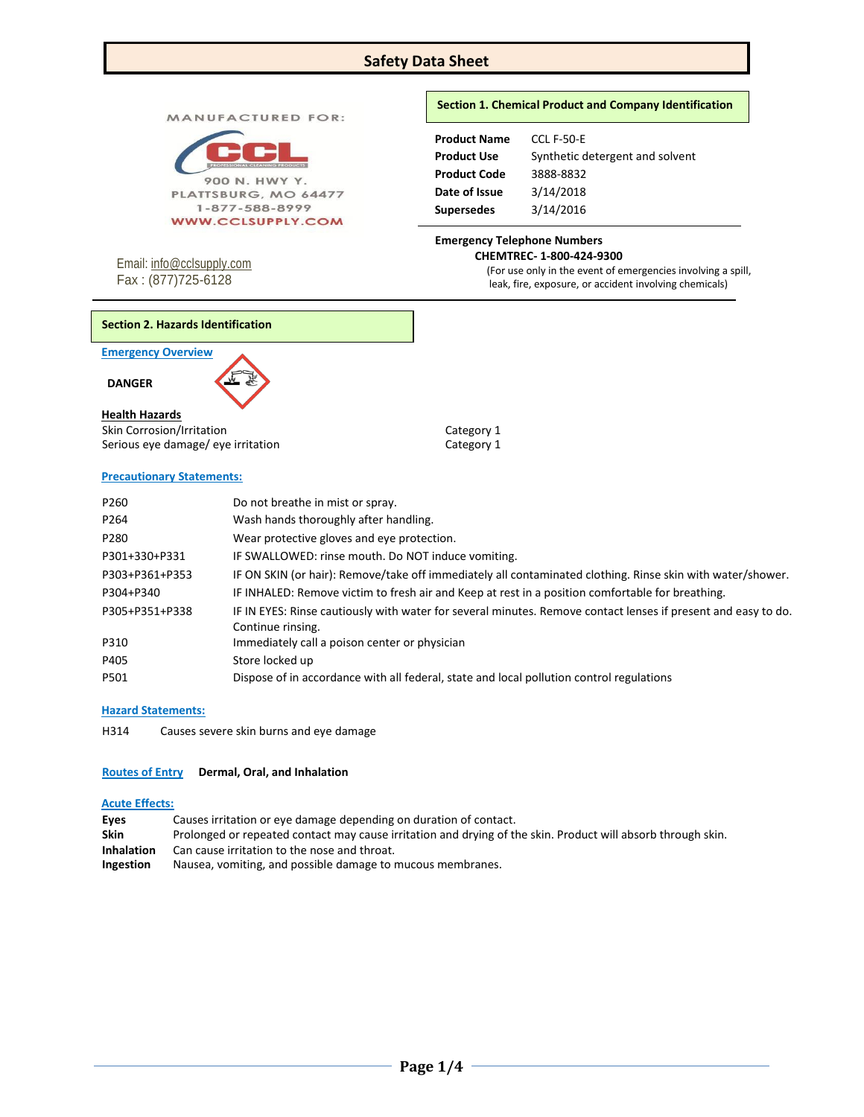# **Safety Data Sheet**

MANUFACTURED FOR:



#### **Section 1. Chemical Product and Company Identification**

| <b>Product Name</b> | <b>CCL F-50-E</b>               |
|---------------------|---------------------------------|
| <b>Product Use</b>  | Synthetic detergent and solvent |
| <b>Product Code</b> | 3888-8832                       |
| Date of Issue       | 3/14/2018                       |
| <b>Supersedes</b>   | 3/14/2016                       |

## Email: [info@cclsupply.com](mailto:info@cclsupply.com) Fax : (877)725-6128

#### **Emergency Telephone Numbers CHEMTREC- 1-800-424-9300**

(For use only in the event of emergencies involving a spill, leak, fire, exposure, or accident involving chemicals)

**Section 2. Hazards Identification**

**Emergency Overview**

**DANGER**

### **Health Hazards**

Skin Corrosion/Irritation<br>
Serious eye damage/ eye irritation<br>
Category 1 Serious eye damage/ eye irritation

#### **Precautionary Statements:**

| P260           | Do not breathe in mist or spray.                                                                                                   |
|----------------|------------------------------------------------------------------------------------------------------------------------------------|
| P264           | Wash hands thoroughly after handling.                                                                                              |
| P280           | Wear protective gloves and eye protection.                                                                                         |
| P301+330+P331  | IF SWALLOWED: rinse mouth. Do NOT induce vomiting.                                                                                 |
| P303+P361+P353 | IF ON SKIN (or hair): Remove/take off immediately all contaminated clothing. Rinse skin with water/shower.                         |
| P304+P340      | IF INHALED: Remove victim to fresh air and Keep at rest in a position comfortable for breathing.                                   |
| P305+P351+P338 | IF IN EYES: Rinse cautiously with water for several minutes. Remove contact lenses if present and easy to do.<br>Continue rinsing. |
| P310           | Immediately call a poison center or physician                                                                                      |
| P405           | Store locked up                                                                                                                    |
| P501           | Dispose of in accordance with all federal, state and local pollution control regulations                                           |

#### **Hazard Statements:**

H314 Causes severe skin burns and eye damage

### **Routes of Entry Dermal, Oral, and Inhalation**

#### **Acute Effects:**

| Eyes              | Causes irritation or eye damage depending on duration of contact.                                            |
|-------------------|--------------------------------------------------------------------------------------------------------------|
| <b>Skin</b>       | Prolonged or repeated contact may cause irritation and drying of the skin. Product will absorb through skin. |
| <b>Inhalation</b> | Can cause irritation to the nose and throat.                                                                 |
| <b>Ingestion</b>  | Nausea, vomiting, and possible damage to mucous membranes.                                                   |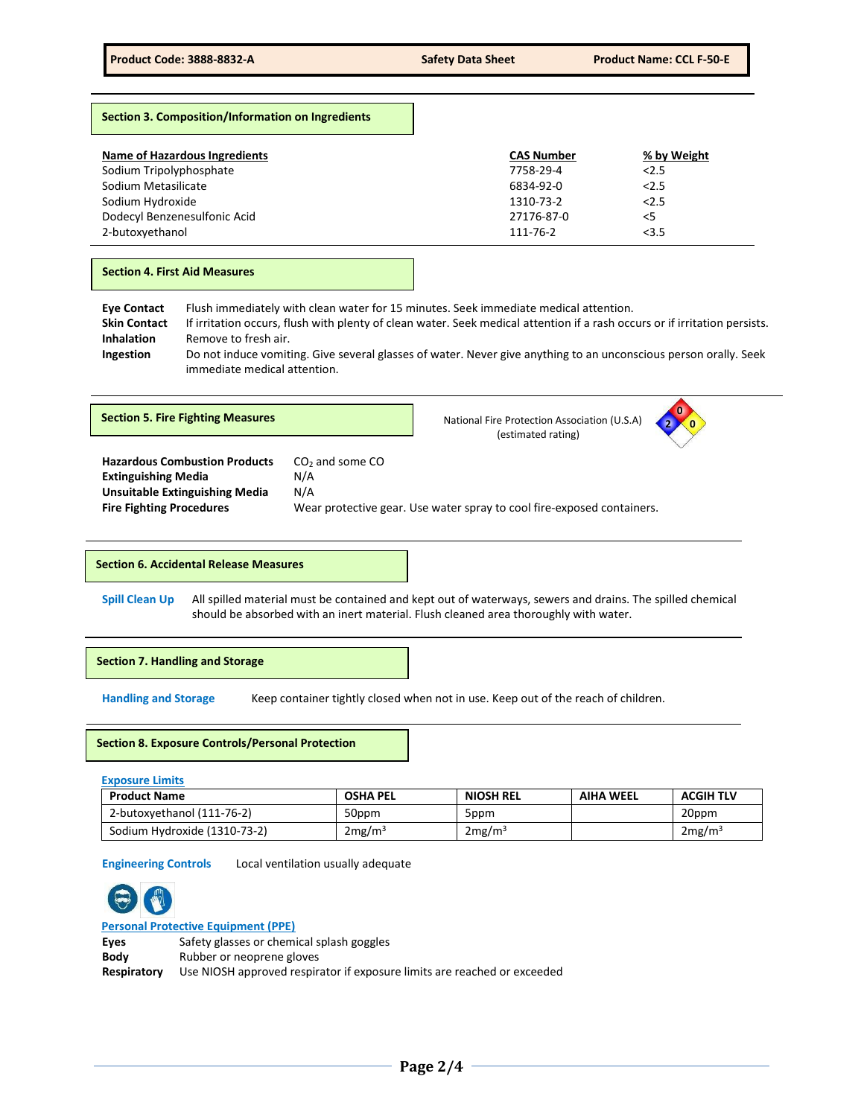**0**

|  |  |  | Section 3. Composition/Information on Ingredients |
|--|--|--|---------------------------------------------------|
|--|--|--|---------------------------------------------------|

| Name of Hazardous Ingredients | <b>CAS Number</b> | % by Weight |
|-------------------------------|-------------------|-------------|
| Sodium Tripolyphosphate       | 7758-29-4         | 2.5         |
| Sodium Metasilicate           | 6834-92-0         | 2.5         |
| Sodium Hydroxide              | 1310-73-2         | 2.5         |
| Dodecyl Benzenesulfonic Acid  | 27176-87-0        | $<$ 5       |
| 2-butoxyethanol               | 111-76-2          | < 3.5       |

#### **Section 4. First Aid Measures**

**Eye Contact** Flush immediately with clean water for 15 minutes. Seek immediate medical attention. **Skin Contact** If irritation occurs, flush with plenty of clean water. Seek medical attention if a rash occurs or if irritation persists. **Inhalation** Remove to fresh air. **Ingestion** Do not induce vomiting. Give several glasses of water. Never give anything to an unconscious person orally. Seek immediate medical attention.

| <b>Section 5. Fire Fighting Measures</b>                                                                                                       | National Fire Protection Association (U.S.A)<br>(estimated rating)                                        | w |
|------------------------------------------------------------------------------------------------------------------------------------------------|-----------------------------------------------------------------------------------------------------------|---|
| <b>Hazardous Combustion Products</b><br><b>Extinguishing Media</b><br><b>Unsuitable Extinguishing Media</b><br><b>Fire Fighting Procedures</b> | $CO2$ and some CO<br>N/A<br>N/A<br>Wear protective gear. Use water spray to cool fire-exposed containers. |   |

#### **Section 6. Accidental Release Measures**

**Spill Clean Up** All spilled material must be contained and kept out of waterways, sewers and drains. The spilled chemical should be absorbed with an inert material. Flush cleaned area thoroughly with water.

**Section 7. Handling and Storage**

**Handling and Storage** Keep container tightly closed when not in use. Keep out of the reach of children.

### **Section 8. Exposure Controls/Personal Protection**

**Exposure Limits**

| <b>Product Name</b>          | <b>OSHA PEL</b>    | <b>NIOSH REL</b>   | <b>AIHA WEEL</b> | <b>ACGIH TLV</b>   |
|------------------------------|--------------------|--------------------|------------------|--------------------|
| 2-butoxyethanol (111-76-2)   | 50ppm              | 5ppm               |                  | 20ppm              |
| Sodium Hydroxide (1310-73-2) | 2mg/m <sup>3</sup> | 2mg/m <sup>3</sup> |                  | 2mg/m <sup>3</sup> |

**Engineering Controls** Local ventilation usually adequate



#### **Personal Protective Equipment (PPE)**

| Eyes        | Safety glasses or chemical splash goggles                                |
|-------------|--------------------------------------------------------------------------|
| <b>Body</b> | Rubber or neoprene gloves                                                |
| Respiratory | Use NIOSH approved respirator if exposure limits are reached or exceeded |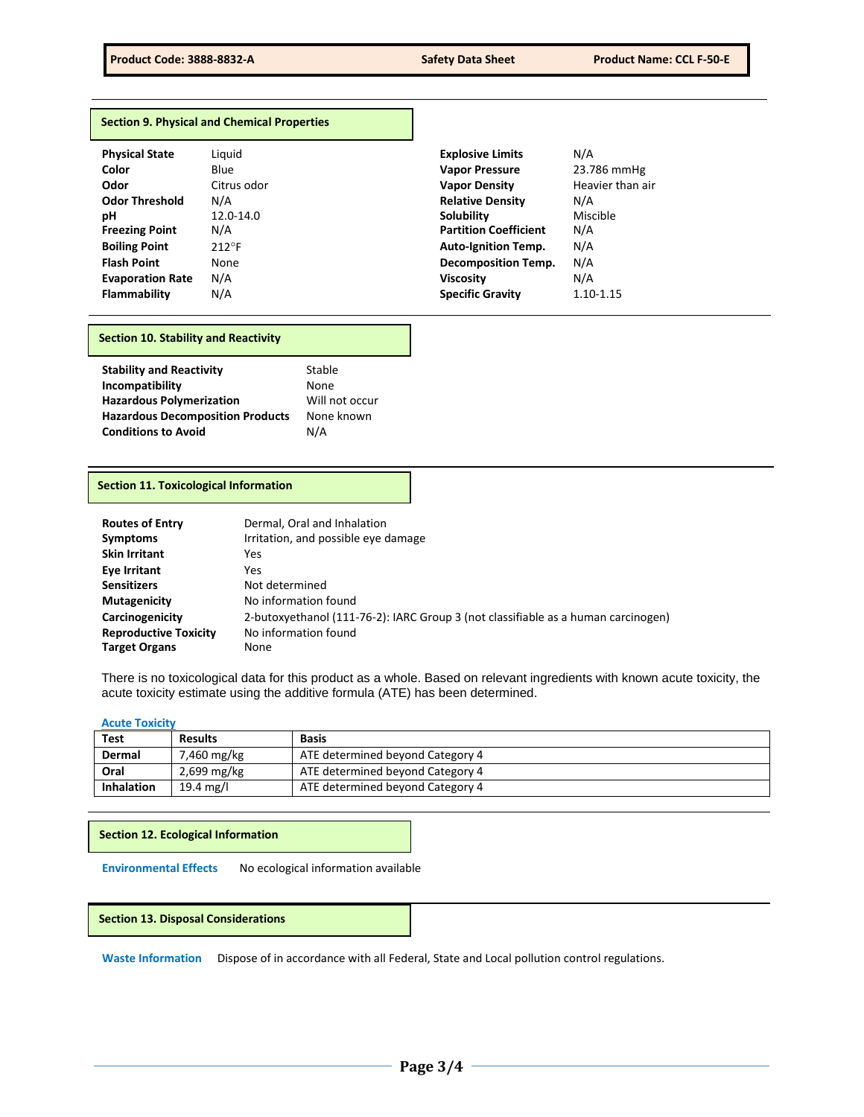#### **Section 9. Physical and Chemical Properties**

| <b>Physical State</b>   | Liguid          | <b>Explosive Limits</b>      | N/A        |
|-------------------------|-----------------|------------------------------|------------|
| Color                   | Blue            | <b>Vapor Pressure</b>        | 23.7       |
| Odor                    | Citrus odor     | <b>Vapor Density</b>         | Hea        |
| <b>Odor Threshold</b>   | N/A             | <b>Relative Density</b>      | N/A        |
| рH                      | 12.0-14.0       | Solubility                   | <b>Mis</b> |
| <b>Freezing Point</b>   | N/A             | <b>Partition Coefficient</b> | N/A        |
| <b>Boiling Point</b>    | $212^{\circ}$ F | <b>Auto-Ignition Temp.</b>   | N/A        |
| <b>Flash Point</b>      | None            | <b>Decomposition Temp.</b>   | N/A        |
| <b>Evaporation Rate</b> | N/A             | <b>Viscosity</b>             | N/A        |
| <b>Flammability</b>     | N/A             | <b>Specific Gravity</b>      | 1.10       |

| Liguid          | <b>Explosive Limits</b>      | N/A              |
|-----------------|------------------------------|------------------|
| Blue            | <b>Vapor Pressure</b>        | 23.786 mmHg      |
| Citrus odor     | <b>Vapor Density</b>         | Heavier than air |
| N/A             | <b>Relative Density</b>      | N/A              |
| 12.0-14.0       | <b>Solubility</b>            | Miscible         |
| N/A             | <b>Partition Coefficient</b> | N/A              |
| $212^{\circ}$ F | <b>Auto-Ignition Temp.</b>   | N/A              |
| None            | <b>Decomposition Temp.</b>   | N/A              |
| N/A             | <b>Viscosity</b>             | N/A              |
| N/A             | <b>Specific Gravity</b>      | 1.10-1.15        |
|                 |                              |                  |

#### **Section 10. Stability and Reactivity**

| <b>Stability and Reactivity</b>         | Stable         |
|-----------------------------------------|----------------|
| Incompatibility                         | None           |
| <b>Hazardous Polymerization</b>         | Will not occur |
| <b>Hazardous Decomposition Products</b> | None known     |
| <b>Conditions to Avoid</b>              | N/A            |

### **Section 11. Toxicological Information**

| <b>Routes of Entry</b>       | Dermal, Oral and Inhalation                                                       |
|------------------------------|-----------------------------------------------------------------------------------|
| <b>Symptoms</b>              | Irritation, and possible eye damage                                               |
| <b>Skin Irritant</b>         | Yes.                                                                              |
| Eye Irritant                 | Yes                                                                               |
| <b>Sensitizers</b>           | Not determined                                                                    |
| <b>Mutagenicity</b>          | No information found                                                              |
| Carcinogenicity              | 2-butoxyethanol (111-76-2): IARC Group 3 (not classifiable as a human carcinogen) |
| <b>Reproductive Toxicity</b> | No information found                                                              |
| <b>Target Organs</b>         | None                                                                              |

There is no toxicological data for this product as a whole. Based on relevant ingredients with known acute toxicity, the acute toxicity estimate using the additive formula (ATE) has been determined.

**Acute Toxicity**

| <b>Test</b>       | <b>Results</b> | <b>Basis</b>                     |
|-------------------|----------------|----------------------------------|
| Dermal            | 7,460 mg/kg    | ATE determined beyond Category 4 |
| Oral              | $2,699$ mg/kg  | ATE determined beyond Category 4 |
| <b>Inhalation</b> | 19.4 mg/l      | ATE determined beyond Category 4 |

### **Section 12. Ecological Information**

**Environmental Effects** No ecological information available

### **Section 13. Disposal Considerations**

**Waste Information** Dispose of in accordance with all Federal, State and Local pollution control regulations.